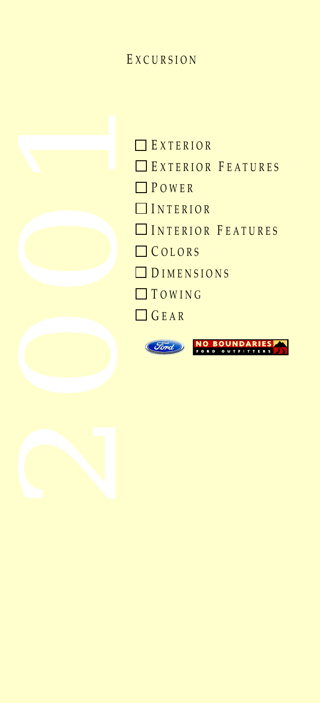## E XCURSION



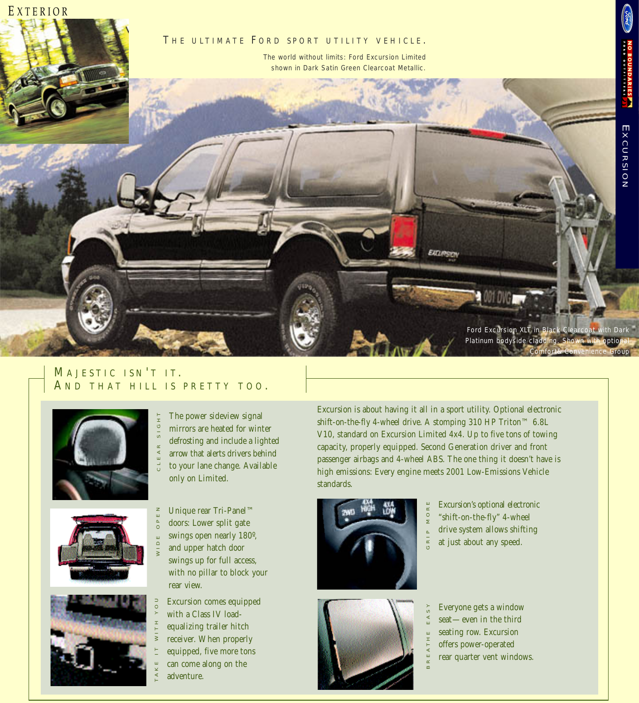<span id="page-1-0"></span>

## MAJESTIC ISN'T IT. A ND THAT HILL IS PRETTY TOO .









Unique rear Tri-Panel™ doors: Lower split gate swings open nearly 180º, and upper hatch door swings up for full access, with no pillar to block your rear view. WIDE OPEN

Excursion comes equipped with a Class IV loadequalizing trailer hitch receiver. When properly equipped, five more tons can come along on the adventure.

Excursion is about having it all in a sport utility. Optional electronic shift-on-the-fly 4-wheel drive. A stomping 310 HP Triton™ 6.8L V10, standard on Excursion Limited 4x4. Up to five tons of towing capacity, properly equipped. Second Generation driver and front passenger airbags and 4-wheel ABS. The one thing it doesn't have is high emissions: Every engine meets 2001 Low-Emissions Vehicle standards.

BREA THE EASY





Excursion's optional electronic "shift-on-the-fly" 4-wheel drive system allows shifting at just about any speed. GRIP MORE

Everyone gets a window seat—even in the third seating row. Excursion offers power-operated rear quarter vent windows.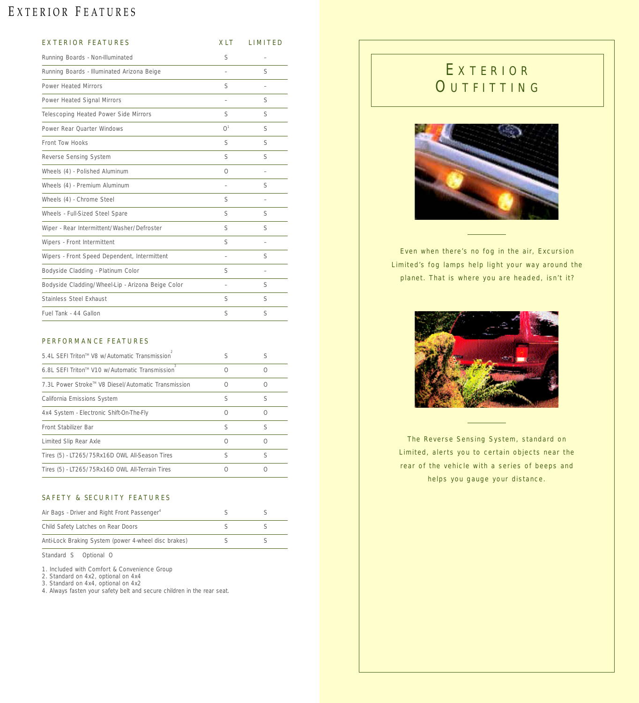# <span id="page-2-0"></span>EXTERIOR FEATURES

| <b>EXTERIOR FEATURES</b>                          | <b>XLT</b>               | <b>LIMITED</b>           |
|---------------------------------------------------|--------------------------|--------------------------|
| Running Boards - Non-Illuminated                  | S                        | $\overline{\phantom{0}}$ |
| Running Boards - Illuminated Arizona Beige        |                          | S                        |
| Power Heated Mirrors                              | S                        | $\overline{\phantom{0}}$ |
| Power Heated Signal Mirrors                       |                          | S                        |
| Telescoping Heated Power Side Mirrors             | S                        | S                        |
| Power Rear Ouarter Windows                        | O <sup>1</sup>           | S                        |
| Front Tow Hooks                                   | S                        | S                        |
| Reverse Sensing System                            | S                        | S                        |
| Wheels (4) - Polished Aluminum                    | $\circ$                  | $\overline{\phantom{0}}$ |
| Wheels (4) - Premium Aluminum                     |                          | S                        |
| Wheels (4) - Chrome Steel                         | S                        |                          |
| Wheels - Full-Sized Steel Spare                   | S                        | S                        |
| Wiper - Rear Intermittent/Washer/Defroster        | S                        | S                        |
| Wipers - Front Intermittent                       | S                        | $\overline{\phantom{m}}$ |
| Wipers - Front Speed Dependent, Intermittent      | $\overline{\phantom{0}}$ | S                        |
| Bodyside Cladding - Platinum Color                | S                        | $\overline{\phantom{0}}$ |
| Bodyside Cladding/Wheel-Lip - Arizona Beige Color | $\overline{\phantom{a}}$ | S                        |
| Stainless Steel Exhaust                           | S                        | S                        |
| Fuel Tank - 44 Gallon                             | S                        | S                        |

#### PERFORMANCE FEATURES

| 5.4L SFFI Triton™ V8 w/Automatic Transmission       | S |   |
|-----------------------------------------------------|---|---|
| 6.8L SFFI Triton™ V10 w/Automatic Transmission      |   |   |
| 7.3L Power Stroke™ V8 Diesel/Automatic Transmission |   |   |
| California Emissions System                         | S | S |
| 4x4 System - Electronic Shift-On-The-Fly            | ∩ |   |
| Front Stabilizer Bar                                | S | S |
| Limited Slip Rear Axle                              |   |   |
| Tires (5) - LT265/75Rx16D OWL All-Season Tires      | S | S |
| Tires (5) - LT265/75Rx16D OWL All-Terrain Tires     |   |   |

#### SAFETY & SECURITY FEATURES

| Air Bags - Driver and Right Front Passenger <sup>4</sup> |  |
|----------------------------------------------------------|--|
| Child Safety Latches on Rear Doors                       |  |
| Anti-Lock Braking System (power 4-wheel disc brakes)     |  |

Standard S Optional O

1. Included with Comfort & Convenience Group

2. Standard on 4x2, optional on 4x4

3. Standard on 4x4, optional on 4x2

4. Always fasten your safety belt and secure children in the rear seat.

# E XTERIOR **OUTFITTING**



Even when there's no fog in the air, Excursion Limited's fog lamps help light your way around the planet. That is where you are headed, isn't it?



The Reverse Sensing System, standard on Limited, alerts you to certain objects near the rear of the vehicle with a series of beeps and helps you gauge your distance.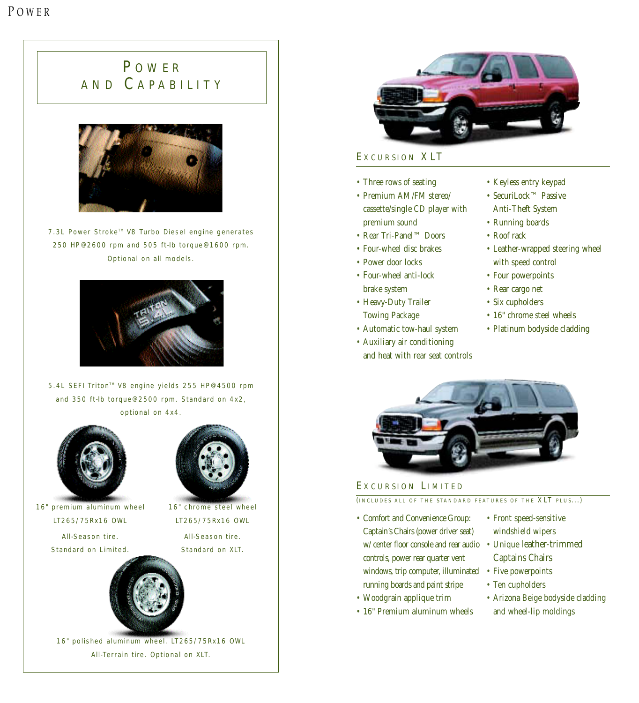# <span id="page-3-0"></span>**POWER** AND C APABILITY



7.3L Power Stroke™ V8 Turbo Diesel engine generates 250 HP @ 2600 rpm and 505 ft-lb torque @ 1600 rpm. Optional on all models.



5.4L SEFI Triton<sup>™</sup> V8 engine yields 255 HP@4500 rpm and 350 ft-lb torque @ 2500 rpm. Standard on 4x2, optional on 4x4.



16" premium aluminum wheel LT265/75Rx16 OWL

> All-Season tire. Standard on Limited.



16" chrome steel wheel LT265/75Rx16 OWL All-Season tire.

16" polished aluminum wheel. LT265/75Rx16 OWL All-Terrain tire. Optional on XLT.



### EXCURSION XLT

- Three rows of seating
- Premium AM/FM stereo/ cassette/single CD player with premium sound
- Rear Tri-Panel™ Doors
- Four-wheel disc brakes
- Power door locks
- Four-wheel anti-lock brake system
- Heavy-Duty Trailer Towing Package
- Automatic tow-haul system
- Auxiliary air conditioning and heat with rear seat controls
- Keyless entry keypad
- SecuriLock™ Passive Anti-Theft System
- Running boards
- Roof rack
- Leather-wrapped steering wheel with speed control
- Four powerpoints
- Rear cargo net
- Six cupholders
- 16" chrome steel wheels
- Platinum bodyside cladding



### EXCURSION LIMITED

(INCLUDES ALL OF THE STANDARD FEATURES OF THE XLT PLUS...)

- Comfort and Convenience Group: Captain's Chairs (power driver seat) w/ center floor console and rear audio • Unique leather-trimmed controls, power rear quarter vent windows, trip computer, illuminated running boards and paint stripe
- Woodgrain applique trim
- 16" Premium aluminum wheels
- Front speed-sensitive windshield wipers
- Captains Chairs
- Five powerpoints
- Ten cupholders
- Arizona Beige bodyside cladding and wheel-lip moldings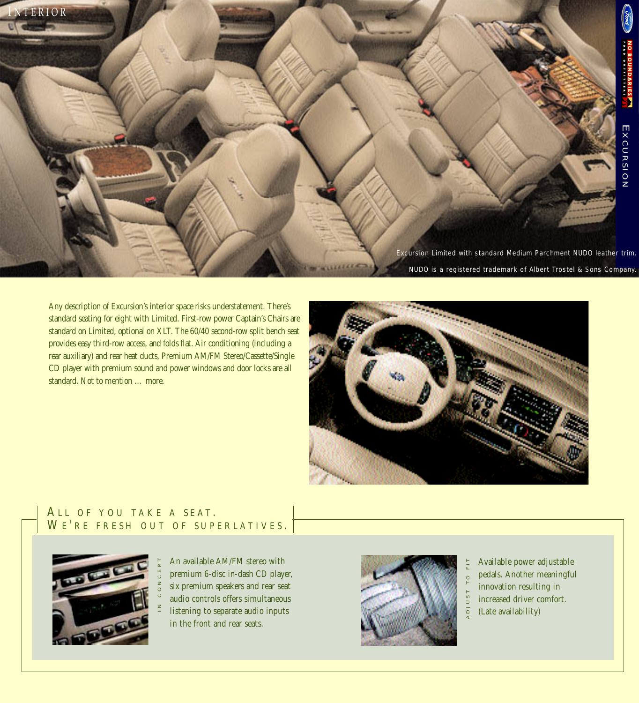<span id="page-4-0"></span>Excursion Limited with standard Medium Parchment NUDO leather trim. NUDO is a registered trademark of Albert Trostel & Sons Company. I NTERIOR

Any description of Excursion's interior space risks understatement. There's standard seating for eight with Limited. First-row power Captain's Chairs are standard on Limited, optional on XLT. The 60/40 second-row split bench seat provides easy third-row access, and folds flat. Air conditioning (including a rear auxiliary) and rear heat ducts, Premium AM/FM Stereo/Cassette/Single CD player with premium sound and power windows and door locks are all standard. Not to mention … more.



### ALL OF YOU TAKE A SEAT. WE'RE FRESH OUT OF SUPERLATIVES.



An available AM/FM stereo with premium 6-disc in-dash CD player, six premium speakers and rear seat audio controls offers simultaneous listening to separate audio inputs in the front and rear seats.



Available power adjustable pedals. Another meaningful innovation resulting in increased driver comfort. (Late availability)

ADJUST TO FIT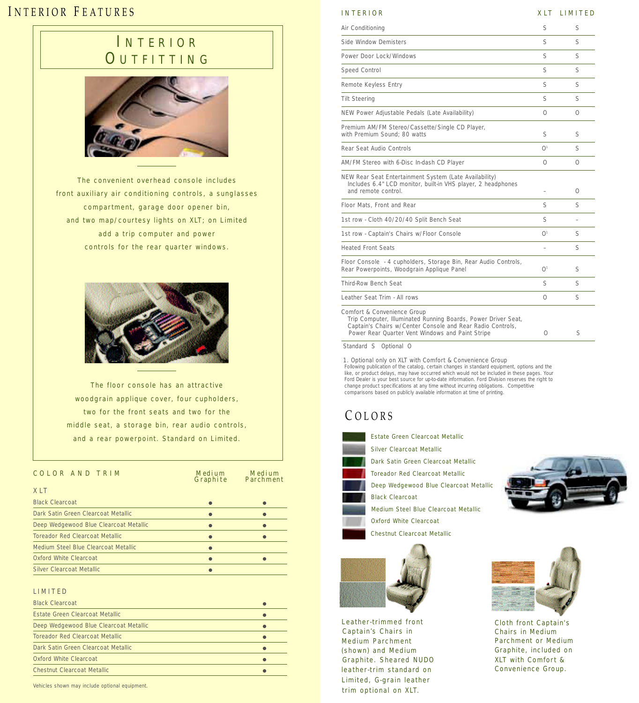## <span id="page-5-0"></span>INTERIOR FEATURES

# I NTERIOR **OUTFITTING**



The convenient overhead console includes front auxiliary air conditioning controls, a sunglasses compartment, garage door opener bin, and two map/courtesy lights on XLT; on Limited add a trip computer and power controls for the rear quarter windows.



The floor console has an attractive woodgrain applique cover, four cupholders, two for the front seats and two for the middle seat, a storage bin, rear audio controls, and a rear powerpoint. Standard on Limited.

| COLOR AND TRIM                         | Medium | Medium<br>Graphite Parchment |
|----------------------------------------|--------|------------------------------|
| XLT                                    |        |                              |
| <b>Black Clearcoat</b>                 |        |                              |
| Dark Satin Green Clearcoat Metallic    |        |                              |
| Deep Wedgewood Blue Clearcoat Metallic |        |                              |
| Toreador Red Clearcoat Metallic        |        |                              |
| Medium Steel Blue Clearcoat Metallic   |        |                              |
| Oxford White Clearcoat                 |        |                              |
| Silver Clearcoat Metallic              |        |                              |

#### LIMITED

| <b>Black Clearcoat</b>                 |  |
|----------------------------------------|--|
| Estate Green Clearcoat Metallic        |  |
| Deep Wedgewood Blue Clearcoat Metallic |  |
| Toreador Red Clearcoat Metallic        |  |
| Dark Satin Green Clearcoat Metallic    |  |
| Oxford White Clearcoat                 |  |
| Chestnut Clearcoat Metallic            |  |

Vehicles shown may include optional equipment.

### INTERIOR XLT LIMITED

| Air Conditioning                                                                                                                              | S                      | S        |
|-----------------------------------------------------------------------------------------------------------------------------------------------|------------------------|----------|
| Side Window Demisters                                                                                                                         | S                      | S        |
| Power Door Lock/Windows                                                                                                                       | S                      | S        |
| Speed Control                                                                                                                                 | S                      | S        |
| Remote Keyless Entry                                                                                                                          | S                      | S        |
| <b>Tilt Steering</b>                                                                                                                          | S                      | S        |
| NEW Power Adjustable Pedals (Late Availability)                                                                                               | $\Omega$               | $\Omega$ |
| Premium AM/FM Stereo/Cassette/Single CD Player,<br>with Premium Sound: 80 watts                                                               | S                      | S        |
| Rear Seat Audio Controls                                                                                                                      | O <sup>1</sup>         | S        |
| AM/FM Stereo with 6-Disc In-dash CD Player                                                                                                    | $\Omega$               | $\Omega$ |
| NEW Rear Seat Entertainment System (Late Availability)<br>Includes 6.4" LCD monitor, built-in VHS player, 2 headphones<br>and remote control. |                        | 0        |
| Floor Mats, Front and Rear                                                                                                                    | S                      | S        |
| 1st row - Cloth 40/20/40 Split Bench Seat                                                                                                     | S                      |          |
| 1st row - Captain's Chairs w/Floor Console                                                                                                    | $\bigcap$ <sup>1</sup> | S        |
| <b>Heated Front Seats</b>                                                                                                                     |                        | S        |
| Floor Console - 4 cupholders, Storage Bin, Rear Audio Controls,<br>Rear Powerpoints, Woodgrain Applique Panel                                 | $\bigcap$ <sup>1</sup> | S        |
| Third-Row Bench Seat                                                                                                                          | S                      | S        |
| Leather Seat Trim - All rows                                                                                                                  | $\Omega$               | S        |
| Comfort & Convenience Group<br>Trin Computer, Illuminated Running Boards, Power Driver Seat                                                   |                        |          |

Trip Computer, Illuminated Running Boards, Power Driver Seat, Captain's Chairs w/Center Console and Rear Radio Controls, Power Rear Quarter Vent Windows and Paint Stripe 0 S

Standard S Optional O

1. Optional only on XLT with Comfort & Convenience Group<br>Following publication of the catalog, certain changes in standard equipment, options and the<br>like, or product delays, may have occurred which would not be included i Ford Dealer is your best source for up-to-date information. Ford Division reserves the right to change product specifications at any time without incurring obligations. Competitive comparisons based on publicly available information at time of printing.

### C OLORS



Estate Green Clearcoat Metallic Silver Clearcoat Metallic

- Dark Satin Green Clearcoat Metallic
- Toreador Red Clearcoat Metallic
- Deep Wedgewood Blue Clearcoat Metallic
- Black Clearcoat
- Medium Steel Blue Clearcoat Metallic Oxford White Clearcoat
- Chestnut Clearcoat Metallic



Captain's Chairs in Leather-trimmed front Medium Parchment (shown) and Medium Graphite. Sheared NUDO leather-trim standard on Limited, G-grain leather trim optional on XLT.





Cloth front Captain's Chairs in Medium Parchment or Medium Graphite, included on XLT with Comfort & Convenience Group.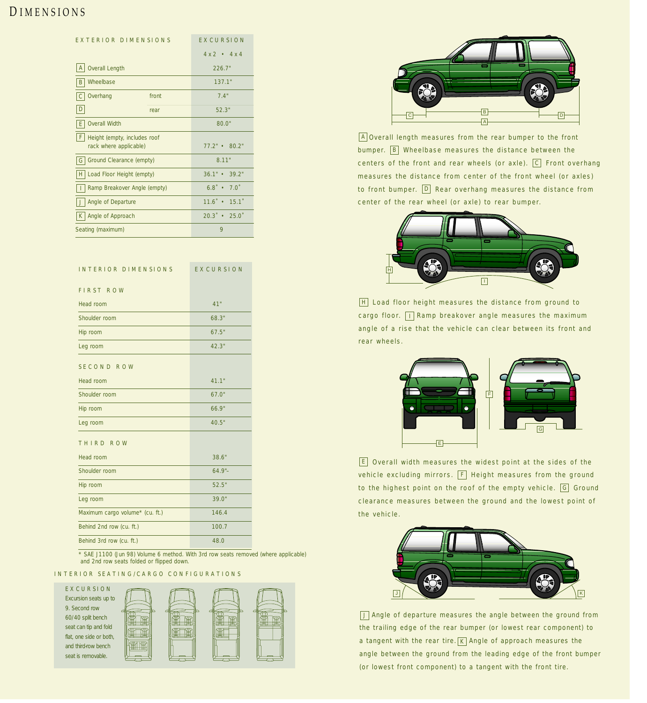## <span id="page-6-0"></span>D IMENSIONS

| EXTERIOR DIMENSIONS                                           | EXCURSION                   |  |
|---------------------------------------------------------------|-----------------------------|--|
|                                                               | $4 \times 2$ • $4 \times 4$ |  |
| <b>Overall Length</b><br>A                                    | 2267"                       |  |
| Wheelbase<br>B                                                | 137.1"                      |  |
| Overhang<br>front<br>l C.                                     | 74"                         |  |
| I D<br>rear                                                   | 52.3"                       |  |
| <b>Overall Width</b><br>IE.                                   | 80.0"                       |  |
| IF.<br>Height (empty, includes roof<br>rack where applicable) | $77.2$ " $\cdot$ 80.2"      |  |
| Ground Clearance (empty)<br>l G                               | 8.11"                       |  |
| Load Floor Height (empty)<br>H                                | $36.1" \cdot 39.2"$         |  |
| Ramp Breakover Angle (empty)                                  | $6.8^{\circ}$ $\bullet$ 7.0 |  |
| Angle of Departure                                            | $11.6$ $\cdot$ 15.1         |  |
| Angle of Approach<br>$\mathsf{K}$                             | $20.3^{\circ}$ • 25.0       |  |
| Seating (maximum)                                             | 9                           |  |

| INTERIOR DIMENSIONS             | <b>EXCURSION</b> |
|---------------------------------|------------------|
| <b>FIRST ROW</b>                |                  |
| Head room                       | 41"              |
| Shoulder room                   | 68.3"            |
| Hip room                        | 67.5"            |
| Leg room                        | 42.3"            |
| SECOND ROW                      |                  |
| Head room                       | 41.1"            |
| Shoulder room                   | 67.0"            |
| Hip room                        | 66.9"            |
| Leg room                        | 40.5"            |
| THIRD ROW                       |                  |
| Head room                       | 38.6"            |
| Shoulder room                   | $64.9 -$         |
| Hip room                        | 52.5"            |
| Leg room                        | 39.0"            |
| Maximum cargo volume* (cu. ft.) | 146.4            |
| Behind 2nd row (cu. ft.)        | 100.7            |
| Behind 3rd row (cu. ft.)        | 48.0             |

\* SAE J1100 (Jun 98) Volume 6 method. With 3rd row seats removed (where applicable) and 2nd row seats folded or flipped down.

#### INTERIOR SEATING/CARGO CONFIGURATIONS





A]Overall length measures from the rear bumper to the front bumper. **B** Wheelbase measures the distance between the centers of the front and rear wheels (or axle).  $[C]$  Front overhang measures the distance from center of the front wheel (or axles) to front bumper.  $\textcolor{orange}{{\mathsf{D}}}$  Rear overhang measures the distance from center of the rear wheel (or axle) to rear bumper.



H] Load floor height measures the distance from ground to cargo floor.  $\vert\,\vert$   $\vert$  Ramp breakover angle measures the maximum angle of a rise that the vehicle can clear between its front and rear wheels.



Overall width measures the widest point at the sides of the E vehicle excluding mirrors. [F] Height measures from the ground to the highest point on the roof of the empty vehicle. [G] Ground clearance measures between the ground and the lowest point of the vehicle.



J Angle of departure measures the angle between the ground from the trailing edge of the rear bumper (or lowest rear component) to a tangent with the rear tire.  $\kappa$  Angle of approach measures the angle between the ground from the leading edge of the front bumper (or lowest front component) to a tangent with the front tire.